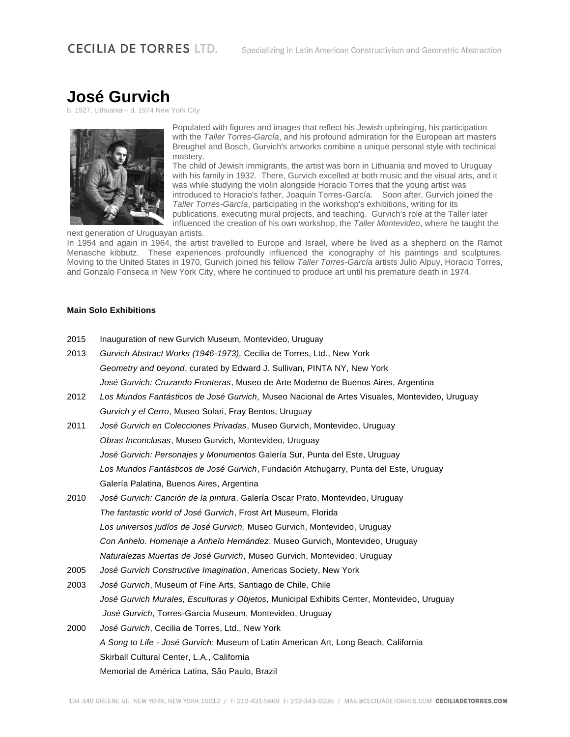# **José Gurvich**

Lithuania – d. 1974 New York City



Populated with figures and images that reflect his Jewish upbringing, his participation with the *Taller Torres-García*, and his profound admiration for the European art masters Breughel and Bosch, Gurvich's artworks combine a unique personal style with technical mastery.

The child of Jewish immigrants, the artist was born in Lithuania and moved to Uruguay with his family in 1932. There, Gurvich excelled at both music and the visual arts, and it was while studying the violin alongside Horacio Torres that the young artist was introduced to Horacio's father, Joaquín Torres-García. Soon after, Gurvich joined the *Taller Torres-García*, participating in the workshop's exhibitions, writing for its publications, executing mural projects, and teaching. Gurvich's role at the Taller later

influenced the creation of his own workshop, the *Taller Montevideo*, where he taught the next generation of Uruguayan artists.

In 1954 and again in 1964, the artist travelled to Europe and Israel, where he lived as a shepherd on the Ramot Menasche kibbutz. These experiences profoundly influenced the iconography of his paintings and sculptures. Moving to the United States in 1970, Gurvich joined his fellow *Taller Torres-García* artists Julio Alpuy, Horacio Torres, and Gonzalo Fonseca in New York City, where he continued to produce art until his premature death in 1974.

#### **Main Solo Exhibitions**

- 2015 Inauguration of new Gurvich Museum*,* Montevideo, Uruguay
- 2013 *Gurvich Abstract Works (1946-1973),* Cecilia de Torres, Ltd., New York *Geometry and beyond*, curated by Edward J. Sullivan, PINTA NY, New York *José Gurvich: Cruzando Fronteras*, Museo de Arte Moderno de Buenos Aires, Argentina 2012 *Los Mundos Fantásticos de José Gurvich,* Museo Nacional de Artes Visuales, Montevideo, Uruguay *Gurvich y el Cerro*, Museo Solari, Fray Bentos, Uruguay 2011 *José Gurvich en Colecciones Privadas*, Museo Gurvich, Montevideo, Uruguay *Obras Inconclusas*, Museo Gurvich, Montevideo, Uruguay *José Gurvich: Personajes y Monumentos* Galería Sur, Punta del Este, Uruguay *Los Mundos Fantásticos de José Gurvich*, Fundación Atchugarry, Punta del Este, Uruguay Galería Palatina, Buenos Aires, Argentina 2010 *José Gurvich: Canción de la pintura*, Galería Oscar Prato, Montevideo, Uruguay *The fantastic world of José Gurvich*, Frost Art Museum, Florida *Los universos judíos de José Gurvich,* Museo Gurvich, Montevideo, Uruguay *Con Anhelo. Homenaje a Anhelo Hernández*, Museo Gurvich, Montevideo, Uruguay *Naturalezas Muertas de José Gurvich*, Museo Gurvich, Montevideo, Uruguay 2005 *José Gurvich Constructive Imagination*, Americas Society, New York 2003 *José Gurvich*, Museum of Fine Arts, Santiago de Chile, Chile *José Gurvich Murales, Esculturas y Objetos*, Municipal Exhibits Center, Montevideo, Uruguay *José Gurvich*, Torres-García Museum, Montevideo, Uruguay 2000 *José Gurvich*, Cecilia de Torres, Ltd., New York *A Song to Life - José Gurvich*: Museum of Latin American Art, Long Beach, California Skirball Cultural Center, L.A., California

Memorial de América Latina, São Paulo, Brazil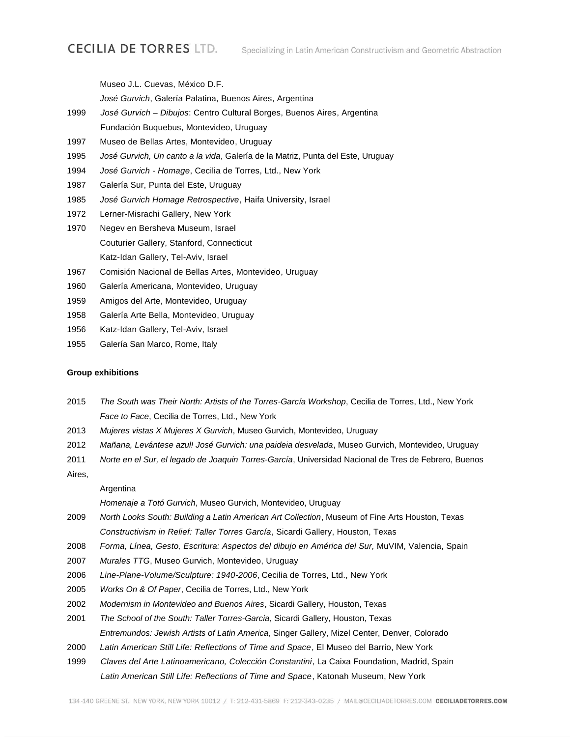Museo J.L. Cuevas, México D.F.

*José Gurvich*, Galería Palatina, Buenos Aires, Argentina

- 1999 *José Gurvich – Dibujos*: Centro Cultural Borges, Buenos Aires, Argentina Fundación Buquebus, Montevideo, Uruguay
- 1997 Museo de Bellas Artes, Montevideo, Uruguay
- 1995 *José Gurvich, Un canto a la vida*, Galería de la Matriz, Punta del Este, Uruguay
- 1994 *José Gurvich - Homage*, Cecilia de Torres, Ltd., New York
- 1987 Galería Sur, Punta del Este, Uruguay
- 1985 *José Gurvich Homage Retrospective*, Haifa University, Israel
- 1972 Lerner-Misrachi Gallery, New York
- 1970 Negev en Bersheva Museum, Israel Couturier Gallery, Stanford, Connecticut Katz-Idan Gallery, Tel-Aviv, Israel
- 1967 Comisión Nacional de Bellas Artes, Montevideo, Uruguay
- 1960 Galería Americana, Montevideo, Uruguay
- 1959 Amigos del Arte, Montevideo, Uruguay
- 1958 Galería Arte Bella, Montevideo, Uruguay
- 1956 Katz-Idan Gallery, Tel-Aviv, Israel
- 1955 Galería San Marco, Rome, Italy

#### **Group exhibitions**

- 2015 *The South was Their North: Artists of the Torres-García Workshop*, Cecilia de Torres, Ltd., New York *Face to Face*, Cecilia de Torres, Ltd., New York
- 2013 *Mujeres vistas X Mujeres X Gurvich*, Museo Gurvich, Montevideo, Uruguay
- 2012 *Mañana, Levántese azul! José Gurvich: una paideia desvelada*, Museo Gurvich, Montevideo, Uruguay
- 2011 *Norte en el Sur, el legado de Joaquin Torres-García*, Universidad Nacional de Tres de Febrero, Buenos

### Aires,

#### Argentina

*Homenaje a Totó Gurvich*, Museo Gurvich, Montevideo, Uruguay

- 2009 *North Looks South: Building a Latin American Art Collection*, Museum of Fine Arts Houston, Texas *Constructivism in Relief: Taller Torres García*, Sicardi Gallery, Houston, Texas
- 2008 *Forma, Línea, Gesto, Escritura: Aspectos del dibujo en América del Sur,* MuVIM, Valencia, Spain
- 2007 *Murales TTG*, Museo Gurvich, Montevideo, Uruguay
- 2006 *Line-Plane-Volume/Sculpture: 1940-2006*, Cecilia de Torres, Ltd., New York
- 2005 *Works On & Of Paper*, Cecilia de Torres, Ltd., New York
- 2002 *Modernism in Montevideo and Buenos Aires*, Sicardi Gallery, Houston, Texas
- 2001 *The School of the South: Taller Torres-Garcia*, Sicardi Gallery, Houston, Texas *Entremundos: Jewish Artists of Latin America*, Singer Gallery, Mizel Center, Denver, Colorado
- 2000 *Latin American Still Life: Reflections of Time and Space*, El Museo del Barrio, New York
- 1999 *Claves del Arte Latinoamericano, Colección Constantini*, La Caixa Foundation, Madrid, Spain *Latin American Still Life: Reflections of Time and Space*, Katonah Museum, New York